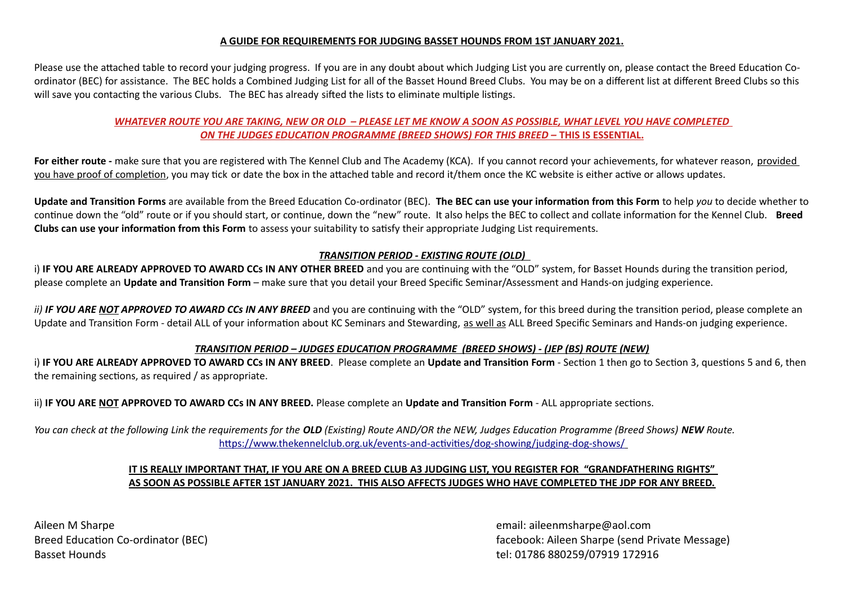#### **A GUIDE FOR REQUIREMENTS FOR JUDGING BASSET HOUNDS FROM 1ST JANUARY 2021.**

Please use the attached table to record your judging progress. If you are in any doubt about which Judging List you are currently on, please contact the Breed Education Coordinator (BEC) for assistance. The BEC holds a Combined Judging List for all of the Basset Hound Breed Clubs. You may be on a different list at different Breed Clubs so this will save you contacting the various Clubs. The BEC has already sifted the lists to eliminate multiple listings.

## *WHATEVER ROUTE YOU ARE TAKING, NEW OR OLD – PLEASE LET ME KNOW A SOON AS POSSIBLE, WHAT LEVEL YOU HAVE COMPLETED ON THE JUDGES EDUCATION PROGRAMME (BREED SHOWS) FOR THIS BREED –* **THIS IS ESSENTIAL.**

For either route - make sure that you are registered with The Kennel Club and The Academy (KCA). If you cannot record your achievements, for whatever reason, provided you have proof of completion, you may tick or date the box in the attached table and record it/them once the KC website is either active or allows updates.

**Update and Transition Forms** are available from the Breed Education Co-ordinator (BEC). **The BEC can use your information from this Form** to help *you* to decide whether to continue down the "old" route or if you should start, or continue, down the "new" route. It also helps the BEC to collect and collate information for the Kennel Club. **Breed Clubs can use your information from this Form** to assess your suitability to satisfy their appropriate Judging List requirements.

## *TRANSITION PERIOD - EXISTING ROUTE (OLD)*

i) **IF YOU ARE ALREADY APPROVED TO AWARD CCs IN ANY OTHER BREED** and you are continuing with the "OLD" system, for Basset Hounds during the transition period, please complete an **Update and Transition Form** – make sure that you detail your Breed Specific Seminar/Assessment and Hands-on judging experience.

*ii)* **IF YOU ARE NOT APPROVED TO AWARD CCs IN ANY BREED** and you are continuing with the "OLD" system, for this breed during the transition period, please complete an Update and Transition Form - detail ALL of your information about KC Seminars and Stewarding, as well as ALL Breed Specific Seminars and Hands-on judging experience.

## *TRANSITION PERIOD – JUDGES EDUCATION PROGRAMME (BREED SHOWS) - (JEP (BS) ROUTE (NEW)*

i) **IF YOU ARE ALREADY APPROVED TO AWARD CCs IN ANY BREED**. Please complete an **Update and Transition Form** - Section 1 then go to Section 3, questions 5 and 6, then the remaining sections, as required / as appropriate.

ii) **IF YOU ARE NOT APPROVED TO AWARD CCs IN ANY BREED.** Please complete an **Update and Transition Form** - ALL appropriate sections.

*You can check at the following Link the requirements for the OLD (Existing) Route AND/OR the NEW, Judges Education Programme (Breed Shows) NEW Route.* <https://www.thekennelclub.org.uk/events-and-activities/dog-showing/judging-dog-shows/>

## **IT IS REALLY IMPORTANT THAT, IF YOU ARE ON A BREED CLUB A3 JUDGING LIST, YOU REGISTER FOR "GRANDFATHERING RIGHTS" AS SOON AS POSSIBLE AFTER 1ST JANUARY 2021. THIS ALSO AFFECTS JUDGES WHO HAVE COMPLETED THE JDP FOR ANY BREED.**

Aileen M Sharpe email: aileenmsharpe@aol.com Basset Hounds **tel: 01786 880259/07919 172916** 

Breed Education Co-ordinator (BEC) facebook: Aileen Sharpe (send Private Message)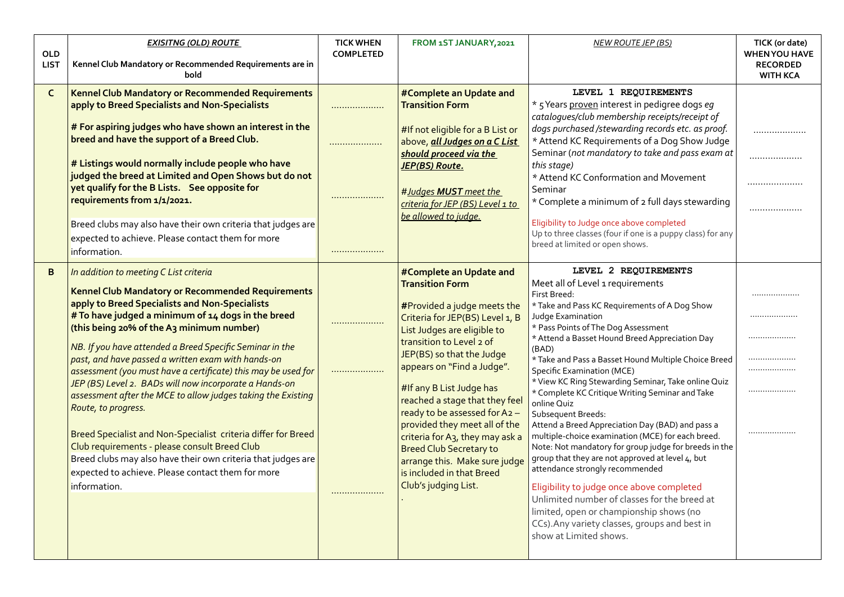| <b>OLD</b><br><b>LIST</b> | <b>EXISITNG (OLD) ROUTE</b><br>Kennel Club Mandatory or Recommended Requirements are in<br>bold                                                                                                                                                                                                                                                                                                                                                                                                                                                                                                                                                                                                                                                                                                                                             | <b>TICK WHEN</b><br><b>COMPLETED</b> | FROM 1ST JANUARY, 2021                                                                                                                                                                                                                                                                                                                                                                                                                                                                                                                            | <b>NEW ROUTE JEP (BS)</b>                                                                                                                                                                                                                                                                                                                                                                                                                                                                                                                                                                                                                                                                                                                                                                                                                                                                                                                                                | TICK (or date)<br><b>WHEN YOU HAVE</b><br><b>RECORDED</b><br><b>WITH KCA</b> |
|---------------------------|---------------------------------------------------------------------------------------------------------------------------------------------------------------------------------------------------------------------------------------------------------------------------------------------------------------------------------------------------------------------------------------------------------------------------------------------------------------------------------------------------------------------------------------------------------------------------------------------------------------------------------------------------------------------------------------------------------------------------------------------------------------------------------------------------------------------------------------------|--------------------------------------|---------------------------------------------------------------------------------------------------------------------------------------------------------------------------------------------------------------------------------------------------------------------------------------------------------------------------------------------------------------------------------------------------------------------------------------------------------------------------------------------------------------------------------------------------|--------------------------------------------------------------------------------------------------------------------------------------------------------------------------------------------------------------------------------------------------------------------------------------------------------------------------------------------------------------------------------------------------------------------------------------------------------------------------------------------------------------------------------------------------------------------------------------------------------------------------------------------------------------------------------------------------------------------------------------------------------------------------------------------------------------------------------------------------------------------------------------------------------------------------------------------------------------------------|------------------------------------------------------------------------------|
| $\mathsf{C}$              | Kennel Club Mandatory or Recommended Requirements<br>apply to Breed Specialists and Non-Specialists<br># For aspiring judges who have shown an interest in the<br>breed and have the support of a Breed Club.<br># Listings would normally include people who have<br>judged the breed at Limited and Open Shows but do not<br>yet qualify for the B Lists. See opposite for<br>requirements from 1/1/2021.                                                                                                                                                                                                                                                                                                                                                                                                                                 | <br>.<br>.                           | #Complete an Update and<br><b>Transition Form</b><br>#If not eligible for a B List or<br>above, all Judges on a C List<br>should proceed via the<br>JEP(BS) Route.<br>#Judges MUST meet the<br>criteria for JEP (BS) Level 1 to<br>be allowed to judge.                                                                                                                                                                                                                                                                                           | LEVEL 1 REQUIREMENTS<br>* 5 Years proven interest in pedigree dogs eq<br>catalogues/club membership receipts/receipt of<br>dogs purchased /stewarding records etc. as proof.<br>* Attend KC Requirements of a Dog Show Judge<br>Seminar (not mandatory to take and pass exam at<br>this stage)<br>* Attend KC Conformation and Movement<br>Seminar<br>* Complete a minimum of 2 full days stewarding                                                                                                                                                                                                                                                                                                                                                                                                                                                                                                                                                                     | .<br>.                                                                       |
|                           | Breed clubs may also have their own criteria that judges are<br>expected to achieve. Please contact them for more<br>information.                                                                                                                                                                                                                                                                                                                                                                                                                                                                                                                                                                                                                                                                                                           |                                      |                                                                                                                                                                                                                                                                                                                                                                                                                                                                                                                                                   | Eligibility to Judge once above completed<br>Up to three classes (four if one is a puppy class) for any<br>breed at limited or open shows.                                                                                                                                                                                                                                                                                                                                                                                                                                                                                                                                                                                                                                                                                                                                                                                                                               |                                                                              |
| B                         | In addition to meeting C List criteria<br>Kennel Club Mandatory or Recommended Requirements<br>apply to Breed Specialists and Non-Specialists<br># To have judged a minimum of 14 dogs in the breed<br>(this being 20% of the A3 minimum number)<br>NB. If you have attended a Breed Specific Seminar in the<br>past, and have passed a written exam with hands-on<br>assessment (you must have a certificate) this may be used for<br>JEP (BS) Level 2. BADs will now incorporate a Hands-on<br>assessment after the MCE to allow judges taking the Existing<br>Route, to progress.<br>Breed Specialist and Non-Specialist criteria differ for Breed<br>Club requirements - please consult Breed Club<br>Breed clubs may also have their own criteria that judges are<br>expected to achieve. Please contact them for more<br>information. | .<br>                                | #Complete an Update and<br><b>Transition Form</b><br>#Provided a judge meets the<br>Criteria for JEP(BS) Level 1, B<br>List Judges are eligible to<br>transition to Level 2 of<br>JEP(BS) so that the Judge<br>appears on "Find a Judge".<br>#If any B List Judge has<br>reached a stage that they feel<br>ready to be assessed for A2 -<br>provided they meet all of the<br>criteria for A <sub>3</sub> , they may ask a<br><b>Breed Club Secretary to</b><br>arrange this. Make sure judge<br>is included in that Breed<br>Club's judging List. | LEVEL 2 REQUIREMENTS<br>Meet all of Level 1 requirements<br>First Breed:<br>* Take and Pass KC Requirements of A Dog Show<br>Judge Examination<br>* Pass Points of The Dog Assessment<br>* Attend a Basset Hound Breed Appreciation Day<br>(BAD)<br>* Take and Pass a Basset Hound Multiple Choice Breed<br><b>Specific Examination (MCE)</b><br>* View KC Ring Stewarding Seminar, Take online Quiz<br>* Complete KC Critique Writing Seminar and Take<br>online Quiz<br>Subsequent Breeds:<br>Attend a Breed Appreciation Day (BAD) and pass a<br>multiple-choice examination (MCE) for each breed.<br>Note: Not mandatory for group judge for breeds in the<br>group that they are not approved at level 4, but<br>attendance strongly recommended<br>Eligibility to judge once above completed<br>Unlimited number of classes for the breed at<br>limited, open or championship shows (no<br>CCs). Any variety classes, groups and best in<br>show at Limited shows. | <br>                                                                         |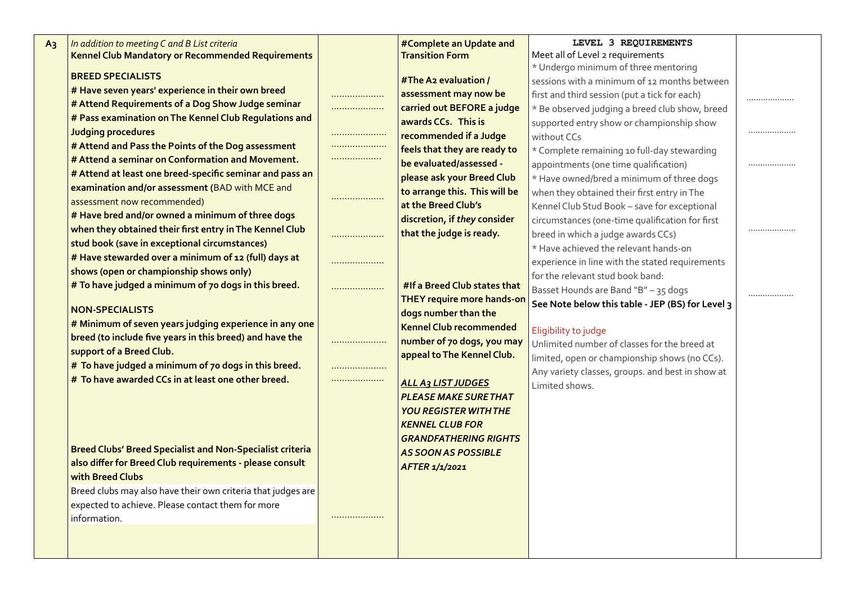| A <sub>3</sub> | In addition to meeting C and B List criteria<br>Kennel Club Mandatory or Recommended Requirements |   | #Complete an Update and<br><b>Transition Form</b>         | LEVEL 3 REQUIREMENTS<br>Meet all of Level 2 requirements |   |
|----------------|---------------------------------------------------------------------------------------------------|---|-----------------------------------------------------------|----------------------------------------------------------|---|
|                | <b>BREED SPECIALISTS</b>                                                                          |   |                                                           | * Undergo minimum of three mentoring                     |   |
|                | # Have seven years' experience in their own breed                                                 |   | #The A2 evaluation /                                      | sessions with a minimum of 12 months between             |   |
|                | # Attend Requirements of a Dog Show Judge seminar                                                 | . | assessment may now be                                     | first and third session (put a tick for each)            |   |
|                | # Pass examination on The Kennel Club Regulations and                                             | . | carried out BEFORE a judge                                | * Be observed judging a breed club show, breed           |   |
|                | <b>Judging procedures</b>                                                                         |   | awards CCs. This is                                       | supported entry show or championship show                |   |
|                | # Attend and Pass the Points of the Dog assessment                                                |   | recommended if a Judge                                    | without CCs                                              |   |
|                | # Attend a seminar on Conformation and Movement.                                                  | . | feels that they are ready to                              | * Complete remaining 10 full-day stewarding              |   |
|                | # Attend at least one breed-specific seminar and pass an                                          |   | be evaluated/assessed -                                   | appointments (one time qualification)                    | . |
|                | examination and/or assessment (BAD with MCE and                                                   |   | please ask your Breed Club                                | * Have owned/bred a minimum of three dogs                |   |
|                | assessment now recommended)                                                                       | . | to arrange this. This will be                             | when they obtained their first entry in The              |   |
|                | # Have bred and/or owned a minimum of three dogs                                                  |   | at the Breed Club's                                       | Kennel Club Stud Book - save for exceptional             |   |
|                | when they obtained their first entry in The Kennel Club                                           |   | discretion, if they consider                              | circumstances (one-time qualification for first          |   |
|                | stud book (save in exceptional circumstances)                                                     |   | that the judge is ready.                                  | breed in which a judge awards CCs)                       |   |
|                | # Have stewarded over a minimum of 12 (full) days at                                              |   |                                                           | * Have achieved the relevant hands-on                    |   |
|                | shows (open or championship shows only)                                                           | . |                                                           | experience in line with the stated requirements          |   |
|                | # To have judged a minimum of 70 dogs in this breed.                                              |   | #If a Breed Club states that                              | for the relevant stud book band:                         |   |
|                |                                                                                                   | . | <b>THEY require more hands-on</b>                         | Basset Hounds are Band "B" - 35 dogs                     |   |
|                | <b>NON-SPECIALISTS</b>                                                                            |   | dogs number than the                                      | See Note below this table - JEP (BS) for Level 3         |   |
|                | # Minimum of seven years judging experience in any one                                            |   | <b>Kennel Club recommended</b>                            |                                                          |   |
|                | breed (to include five years in this breed) and have the                                          |   | number of 70 dogs, you may                                | Eligibility to judge                                     |   |
|                | support of a Breed Club.                                                                          |   | appeal to The Kennel Club.                                | Unlimited number of classes for the breed at             |   |
|                | # To have judged a minimum of 70 dogs in this breed.                                              |   |                                                           | limited, open or championship shows (no CCs).            |   |
|                | # To have awarded CCs in at least one other breed.                                                |   |                                                           | Any variety classes, groups. and best in show at         |   |
|                |                                                                                                   |   | <b>ALL A3 LIST JUDGES</b><br><b>PLEASE MAKE SURE THAT</b> | Limited shows.                                           |   |
|                |                                                                                                   |   |                                                           |                                                          |   |
|                |                                                                                                   |   | <b>YOU REGISTER WITH THE</b>                              |                                                          |   |
|                |                                                                                                   |   | <b>KENNEL CLUB FOR</b>                                    |                                                          |   |
|                | <b>Breed Clubs' Breed Specialist and Non-Specialist criteria</b>                                  |   | <b>GRANDFATHERING RIGHTS</b>                              |                                                          |   |
|                | also differ for Breed Club requirements - please consult                                          |   | <b>AS SOON AS POSSIBLE</b>                                |                                                          |   |
|                | with Breed Clubs                                                                                  |   | AFTER 1/1/2021                                            |                                                          |   |
|                | Breed clubs may also have their own criteria that judges are                                      |   |                                                           |                                                          |   |
|                | expected to achieve. Please contact them for more                                                 |   |                                                           |                                                          |   |
|                | information.                                                                                      |   |                                                           |                                                          |   |
|                |                                                                                                   |   |                                                           |                                                          |   |
|                |                                                                                                   |   |                                                           |                                                          |   |
|                |                                                                                                   |   |                                                           |                                                          |   |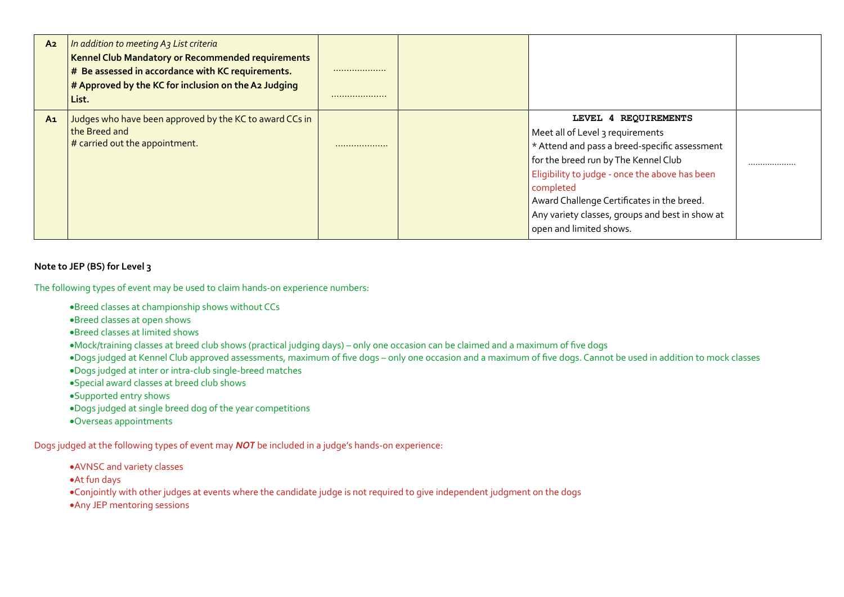| A <sub>2</sub> | In addition to meeting A3 List criteria<br>Kennel Club Mandatory or Recommended requirements<br>$#$ Be assessed in accordance with KC requirements.<br>$\#$ Approved by the KC for inclusion on the A2 Judging<br>List. |   |                                                                                                                                                                                                                                                                                                                                              |   |
|----------------|-------------------------------------------------------------------------------------------------------------------------------------------------------------------------------------------------------------------------|---|----------------------------------------------------------------------------------------------------------------------------------------------------------------------------------------------------------------------------------------------------------------------------------------------------------------------------------------------|---|
| A <sub>1</sub> | Judges who have been approved by the KC to award CCs in<br>the Breed and<br>$#$ carried out the appointment.                                                                                                            | . | LEVEL 4 REQUIREMENTS<br>Meet all of Level 3 requirements<br>* Attend and pass a breed-specific assessment<br>for the breed run by The Kennel Club<br>Eligibility to judge - once the above has been<br>completed<br>Award Challenge Certificates in the breed.<br>Any variety classes, groups and best in show at<br>open and limited shows. | . |

#### **Note to JEP (BS) for Level 3**

The following types of event may be used to claim hands-on experience numbers:

- Breed classes at championship shows without CCs
- Breed classes at open shows
- Breed classes at limited shows
- Mock/training classes at breed club shows (practical judging days) only one occasion can be claimed and a maximum of five dogs
- Dogs judged at Kennel Club approved assessments, maximum of five dogs only one occasion and a maximum of five dogs. Cannot be used in addition to mock classes
- Dogs judged at inter or intra-club single-breed matches
- Special award classes at breed club shows
- Supported entry shows
- Dogs judged at single breed dog of the year competitions
- Overseas appointments

Dogs judged at the following types of event may *NOT* be included in a judge's hands-on experience:

- AVNSC and variety classes
- At fun days
- Conjointly with other judges at events where the candidate judge is not required to give independent judgment on the dogs
- Any JEP mentoring sessions